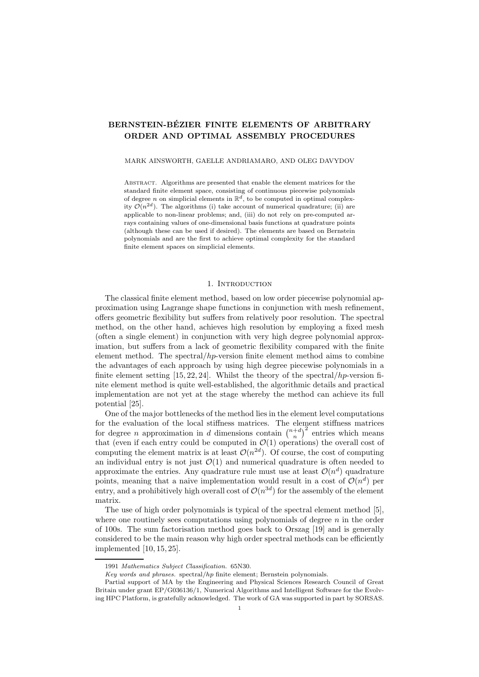# BERNSTEIN-BÉZIER FINITE ELEMENTS OF ARBITRARY ORDER AND OPTIMAL ASSEMBLY PROCEDURES

#### MARK AINSWORTH, GAELLE ANDRIAMARO, AND OLEG DAVYDOV

Abstract. Algorithms are presented that enable the element matrices for the standard finite element space, consisting of continuous piecewise polynomials of degree n on simplicial elements in  $\mathbb{R}^d$ , to be computed in optimal complexity  $\mathcal{O}(n^{2d})$ . The algorithms (i) take account of numerical quadrature; (ii) are applicable to non-linear problems; and, (iii) do not rely on pre-computed arrays containing values of one-dimensional basis functions at quadrature points (although these can be used if desired). The elements are based on Bernstein polynomials and are the first to achieve optimal complexity for the standard finite element spaces on simplicial elements.

#### 1. Introduction

The classical finite element method, based on low order piecewise polynomial approximation using Lagrange shape functions in conjunction with mesh refinement, offers geometric flexibility but suffers from relatively poor resolution. The spectral method, on the other hand, achieves high resolution by employing a fixed mesh (often a single element) in conjunction with very high degree polynomial approximation, but suffers from a lack of geometric flexibility compared with the finite element method. The spectral/ $hp$ -version finite element method aims to combine the advantages of each approach by using high degree piecewise polynomials in a finite element setting  $[15, 22, 24]$ . Whilst the theory of the spectral/hp-version finite element method is quite well-established, the algorithmic details and practical implementation are not yet at the stage whereby the method can achieve its full potential [25].

One of the major bottlenecks of the method lies in the element level computations for the evaluation of the local stiffness matrices. The element stiffness matrices for degree *n* approximation in *d* dimensions contain  $\binom{n+d}{n}^2$  entries which means that (even if each entry could be computed in  $\mathcal{O}(1)$  operations) the overall cost of computing the element matrix is at least  $\mathcal{O}(n^{2d})$ . Of course, the cost of computing an individual entry is not just  $\mathcal{O}(1)$  and numerical quadrature is often needed to approximate the entries. Any quadrature rule must use at least  $\mathcal{O}(n^d)$  quadrature points, meaning that a naive implementation would result in a cost of  $\mathcal{O}(n^d)$  per entry, and a prohibitively high overall cost of  $\mathcal{O}(n^{3d})$  for the assembly of the element matrix.

The use of high order polynomials is typical of the spectral element method [5], where one routinely sees computations using polynomials of degree  $n$  in the order of 100s. The sum factorisation method goes back to Orszag [19] and is generally considered to be the main reason why high order spectral methods can be efficiently implemented [10, 15, 25].

<sup>1991</sup> Mathematics Subject Classification. 65N30.

Key words and phrases. spectral/hp finite element; Bernstein polynomials.

Partial support of MA by the Engineering and Physical Sciences Research Council of Great Britain under grant EP/G036136/1, Numerical Algorithms and Intelligent Software for the Evolving HPC Platform, is gratefully acknowledged. The work of GA was supported in part by SORSAS.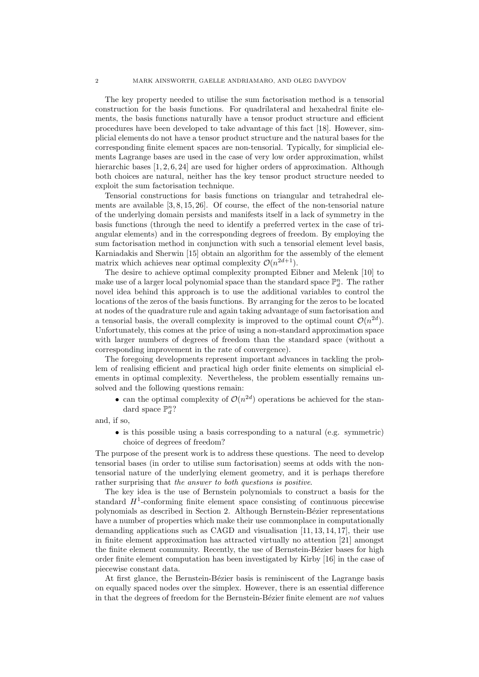The key property needed to utilise the sum factorisation method is a tensorial construction for the basis functions. For quadrilateral and hexahedral finite elements, the basis functions naturally have a tensor product structure and efficient procedures have been developed to take advantage of this fact [18]. However, simplicial elements do not have a tensor product structure and the natural bases for the corresponding finite element spaces are non-tensorial. Typically, for simplicial elements Lagrange bases are used in the case of very low order approximation, whilst hierarchic bases [1, 2, 6, 24] are used for higher orders of approximation. Although both choices are natural, neither has the key tensor product structure needed to exploit the sum factorisation technique.

Tensorial constructions for basis functions on triangular and tetrahedral elements are available [3, 8, 15, 26]. Of course, the effect of the non-tensorial nature of the underlying domain persists and manifests itself in a lack of symmetry in the basis functions (through the need to identify a preferred vertex in the case of triangular elements) and in the corresponding degrees of freedom. By employing the sum factorisation method in conjunction with such a tensorial element level basis, Karniadakis and Sherwin [15] obtain an algorithm for the assembly of the element matrix which achieves near optimal complexity  $\mathcal{O}(n^{2d+1})$ .

The desire to achieve optimal complexity prompted Eibner and Melenk [10] to make use of a larger local polynomial space than the standard space  $\mathbb{P}_d^n$ . The rather novel idea behind this approach is to use the additional variables to control the locations of the zeros of the basis functions. By arranging for the zeros to be located at nodes of the quadrature rule and again taking advantage of sum factorisation and a tensorial basis, the overall complexity is improved to the optimal count  $\mathcal{O}(n^{2d})$ . Unfortunately, this comes at the price of using a non-standard approximation space with larger numbers of degrees of freedom than the standard space (without a corresponding improvement in the rate of convergence).

The foregoing developments represent important advances in tackling the problem of realising efficient and practical high order finite elements on simplicial elements in optimal complexity. Nevertheless, the problem essentially remains unsolved and the following questions remain:

• can the optimal complexity of  $\mathcal{O}(n^{2d})$  operations be achieved for the standard space  $\mathbb{P}_d^n$ ?

and, if so,

• is this possible using a basis corresponding to a natural (e.g. symmetric) choice of degrees of freedom?

The purpose of the present work is to address these questions. The need to develop tensorial bases (in order to utilise sum factorisation) seems at odds with the nontensorial nature of the underlying element geometry, and it is perhaps therefore rather surprising that the answer to both questions is positive.

The key idea is the use of Bernstein polynomials to construct a basis for the standard  $H^1$ -conforming finite element space consisting of continuous piecewise polynomials as described in Section 2. Although Bernstein-B´ezier representations have a number of properties which make their use commonplace in computationally demanding applications such as CAGD and visualisation [11, 13, 14, 17], their use in finite element approximation has attracted virtually no attention [21] amongst the finite element community. Recently, the use of Bernstein-Bézier bases for high order finite element computation has been investigated by Kirby [16] in the case of piecewise constant data.

At first glance, the Bernstein-Bézier basis is reminiscent of the Lagrange basis on equally spaced nodes over the simplex. However, there is an essential difference in that the degrees of freedom for the Bernstein-Bézier finite element are not values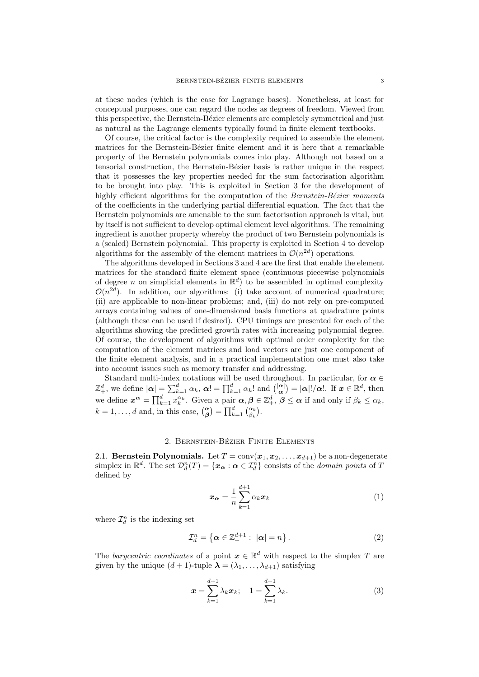at these nodes (which is the case for Lagrange bases). Nonetheless, at least for conceptual purposes, one can regard the nodes as degrees of freedom. Viewed from this perspective, the Bernstein-Bézier elements are completely symmetrical and just as natural as the Lagrange elements typically found in finite element textbooks.

Of course, the critical factor is the complexity required to assemble the element matrices for the Bernstein-Bézier finite element and it is here that a remarkable property of the Bernstein polynomials comes into play. Although not based on a tensorial construction, the Bernstein-B´ezier basis is rather unique in the respect that it possesses the key properties needed for the sum factorisation algorithm to be brought into play. This is exploited in Section 3 for the development of highly efficient algorithms for the computation of the *Bernstein-Bézier moments* of the coefficients in the underlying partial differential equation. The fact that the Bernstein polynomials are amenable to the sum factorisation approach is vital, but by itself is not sufficient to develop optimal element level algorithms. The remaining ingredient is another property whereby the product of two Bernstein polynomials is a (scaled) Bernstein polynomial. This property is exploited in Section 4 to develop algorithms for the assembly of the element matrices in  $\mathcal{O}(n^{2d})$  operations.

The algorithms developed in Sections 3 and 4 are the first that enable the element matrices for the standard finite element space (continuous piecewise polynomials of degree *n* on simplicial elements in  $\mathbb{R}^d$  to be assembled in optimal complexity  $\mathcal{O}(n^{2d})$ . In addition, our algorithms: (i) take account of numerical quadrature; (ii) are applicable to non-linear problems; and, (iii) do not rely on pre-computed arrays containing values of one-dimensional basis functions at quadrature points (although these can be used if desired). CPU timings are presented for each of the algorithms showing the predicted growth rates with increasing polynomial degree. Of course, the development of algorithms with optimal order complexity for the computation of the element matrices and load vectors are just one component of the finite element analysis, and in a practical implementation one must also take into account issues such as memory transfer and addressing.

Standard multi-index notations will be used throughout. In particular, for  $\alpha \in$  $\mathbb{Z}_+^d$ , we define  $|\boldsymbol{\alpha}| = \sum_{k=1}^d \alpha_k$ ,  $\boldsymbol{\alpha}! = \prod_{k=1}^d \alpha_k!$  and  $\binom{|\boldsymbol{\alpha}|}{\boldsymbol{\alpha}} = |\boldsymbol{\alpha}|!/\boldsymbol{\alpha}!$ . If  $\boldsymbol{x} \in \mathbb{R}^d$ , then we define  $\boldsymbol{x}^{\boldsymbol{\alpha}} = \prod_{k=1}^{d} x_k^{\alpha_k}$ . Given a pair  $\boldsymbol{\alpha}, \boldsymbol{\beta} \in \mathbb{Z}_+^d$ ,  $\boldsymbol{\beta} \leq \boldsymbol{\alpha}$  if and only if  $\beta_k \leq \alpha_k$ ,  $k = 1, \ldots, d$  and, in this case,  $\begin{pmatrix} \alpha \\ \beta \end{pmatrix} = \prod_{k=1}^{d} \begin{pmatrix} \alpha_k \\ \beta_k \end{pmatrix}$ .

### 2. BERNSTEIN-BÉZIER FINITE ELEMENTS

2.1. Bernstein Polynomials. Let  $T = conv(x_1, x_2, \ldots, x_{d+1})$  be a non-degenerate simplex in  $\mathbb{R}^d$ . The set  $\mathcal{D}_d^n(T) = \{x_{\alpha} : \alpha \in \mathcal{I}_d^n\}$  consists of the *domain points* of T defined by

$$
x_{\alpha} = \frac{1}{n} \sum_{k=1}^{d+1} \alpha_k x_k \tag{1}
$$

where  $\mathcal{I}_d^n$  is the indexing set

$$
\mathcal{I}_d^n = \left\{ \alpha \in \mathbb{Z}_+^{d+1} : \ |\alpha| = n \right\}.
$$
 (2)

The barycentric coordinates of a point  $x \in \mathbb{R}^d$  with respect to the simplex T are given by the unique  $(d + 1)$ -tuple  $\lambda = (\lambda_1, \ldots, \lambda_{d+1})$  satisfying

$$
x = \sum_{k=1}^{d+1} \lambda_k x_k; \quad 1 = \sum_{k=1}^{d+1} \lambda_k.
$$
 (3)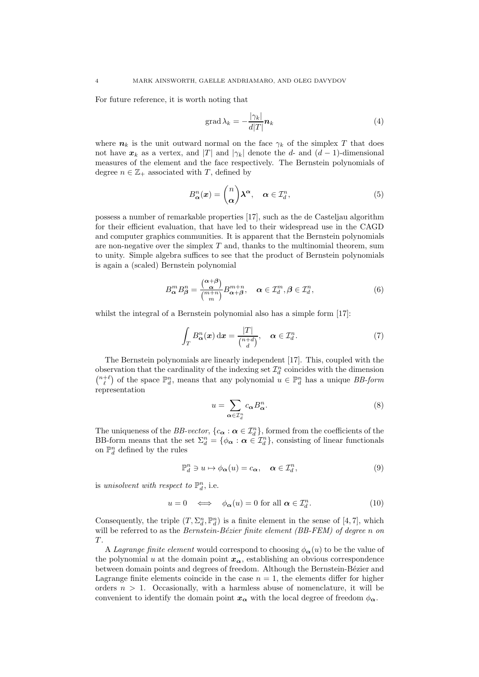For future reference, it is worth noting that

$$
\operatorname{grad} \lambda_k = -\frac{|\gamma_k|}{d|T|} n_k \tag{4}
$$

where  $n_k$  is the unit outward normal on the face  $\gamma_k$  of the simplex T that does not have  $x_k$  as a vertex, and |T| and  $|\gamma_k|$  denote the d- and  $(d-1)$ -dimensional measures of the element and the face respectively. The Bernstein polynomials of degree  $n \in \mathbb{Z}_+$  associated with T, defined by

$$
B_{\alpha}^{n}(x) = \binom{n}{\alpha} \lambda^{\alpha}, \quad \alpha \in \mathcal{I}_{d}^{n}, \tag{5}
$$

possess a number of remarkable properties [17], such as the de Casteljau algorithm for their efficient evaluation, that have led to their widespread use in the CAGD and computer graphics communities. It is apparent that the Bernstein polynomials are non-negative over the simplex  $T$  and, thanks to the multinomial theorem, sum to unity. Simple algebra suffices to see that the product of Bernstein polynomials is again a (scaled) Bernstein polynomial

$$
B_{\alpha}^{m} B_{\beta}^{n} = \frac{\binom{\alpha + \beta}{\alpha}}{\binom{m+n}{m}} B_{\alpha + \beta}^{m+n}, \quad \alpha \in \mathcal{I}_{d}^{m}, \beta \in \mathcal{I}_{d}^{n}, \tag{6}
$$

whilst the integral of a Bernstein polynomial also has a simple form [17]:

$$
\int_{T} B_{\alpha}^{n}(\boldsymbol{x}) d\boldsymbol{x} = \frac{|T|}{\binom{n+d}{d}}, \quad \alpha \in \mathcal{I}_{d}^{n}.
$$
\n(7)

The Bernstein polynomials are linearly independent [17]. This, coupled with the observation that the cardinality of the indexing set  $\mathcal{I}_d^n$  coincides with the dimension  $\binom{n+\ell}{\ell}$  of the space  $\mathbb{P}_d^n$ , means that any polynomial  $u \in \mathbb{P}_d^n$  has a unique BB-form representation

$$
u = \sum_{\alpha \in \mathcal{I}_d^n} c_{\alpha} B_{\alpha}^n. \tag{8}
$$

The uniqueness of the *BB-vector*,  ${c_{\alpha} : \alpha \in \mathcal{I}_d^n}$ , formed from the coefficients of the BB-form means that the set  $\Sigma_d^n = \{\phi_{\alpha} : \alpha \in \mathcal{I}_d^n\}$ , consisting of linear functionals on  $\mathbb{P}^n_d$  defined by the rules

$$
\mathbb{P}_d^n \ni u \mapsto \phi_\alpha(u) = c_\alpha, \quad \alpha \in \mathcal{I}_d^n,\tag{9}
$$

is unisolvent with respect to  $\mathbb{P}_d^n$ , i.e.

$$
u = 0 \iff \phi_{\alpha}(u) = 0 \text{ for all } \alpha \in \mathcal{I}_d^n. \tag{10}
$$

Consequently, the triple  $(T, \Sigma_d^n, \mathbb{P}_d^n)$  is a finite element in the sense of [4,7], which will be referred to as the Bernstein-Bézier finite element (BB-FEM) of degree n on  $T$ .

A Lagrange finite element would correspond to choosing  $\phi_{\alpha}(u)$  to be the value of the polynomial u at the domain point  $x_{\alpha}$ , establishing an obvious correspondence between domain points and degrees of freedom. Although the Bernstein-Bézier and Lagrange finite elements coincide in the case  $n = 1$ , the elements differ for higher orders  $n > 1$ . Occasionally, with a harmless abuse of nomenclature, it will be convenient to identify the domain point  $x_{\alpha}$  with the local degree of freedom  $\phi_{\alpha}$ .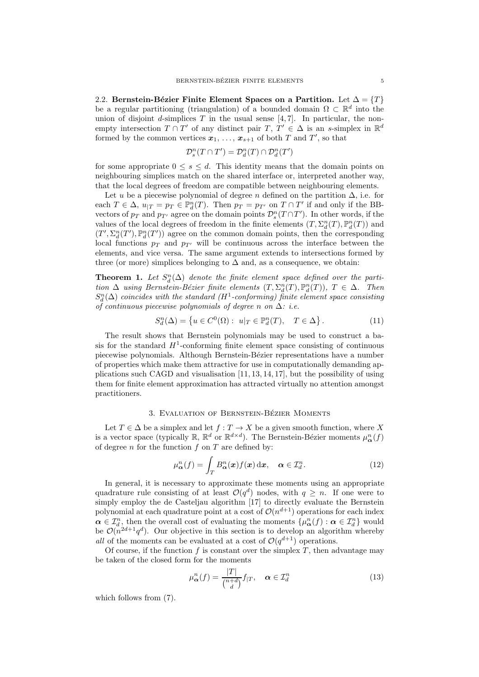2.2. Bernstein-Bézier Finite Element Spaces on a Partition. Let  $\Delta = \{T\}$ be a regular partitioning (triangulation) of a bounded domain  $\Omega \subset \mathbb{R}^d$  into the union of disjoint d-simplices  $T$  in the usual sense [4, 7]. In particular, the nonempty intersection  $T \cap T'$  of any distinct pair  $T, T' \in \Delta$  is an s-simplex in  $\mathbb{R}^d$ formed by the common vertices  $x_1, \ldots, x_{s+1}$  of both T and T', so that

$$
\mathcal{D}^{n}_{s}(T\cap T')=\mathcal{D}^{n}_{d}(T)\cap\mathcal{D}^{n}_{d}(T')
$$

for some appropriate  $0 \leq s \leq d$ . This identity means that the domain points on neighbouring simplices match on the shared interface or, interpreted another way, that the local degrees of freedom are compatible between neighbouring elements.

Let u be a piecewise polynomial of degree n defined on the partition  $\Delta$ , i.e. for each  $T \in \Delta$ ,  $u_{|T} = p_T \in \mathbb{P}_d^n(T)$ . Then  $p_T = p_{T'}$  on  $T \cap T'$  if and only if the BBvectors of  $p_T$  and  $p_{T'}$  agree on the domain points  $\mathcal{D}_s^n(T \cap T')$ . In other words, if the values of the local degrees of freedom in the finite elements  $(T, \Sigma_d^n(T), \mathbb{P}_d^n(T))$  and  $(T', \Sigma_d^n(T'), \mathbb{P}_d^n(T'))$  agree on the common domain points, then the corresponding local functions  $p_T$  and  $p_{T'}$  will be continuous across the interface between the elements, and vice versa. The same argument extends to intersections formed by three (or more) simplices belonging to  $\Delta$  and, as a consequence, we obtain:

**Theorem 1.** Let  $S_d^n(\Delta)$  denote the finite element space defined over the partition  $\Delta$  using Bernstein-Bézier finite elements  $(T, \Sigma_d^n(T), \mathbb{P}_d^n(T))$ ,  $T \in \Delta$ . Then  $S_d^n(\Delta)$  coincides with the standard  $(H^1$ -conforming) finite element space consisting of continuous piecewise polynomials of degree n on  $\Delta$ : i.e.

$$
S_d^n(\Delta) = \left\{ u \in C^0(\Omega) : u|_T \in \mathbb{P}_d^n(T), \quad T \in \Delta \right\}.
$$
 (11)

The result shows that Bernstein polynomials may be used to construct a basis for the standard  $H^1$ -conforming finite element space consisting of continuous piecewise polynomials. Although Bernstein-Bézier representations have a number of properties which make them attractive for use in computationally demanding applications such CAGD and visualisation  $[11, 13, 14, 17]$ , but the possibility of using them for finite element approximation has attracted virtually no attention amongst practitioners.

### 3. EVALUATION OF BERNSTEIN-BÉZIER MOMENTS

Let  $T \in \Delta$  be a simplex and let  $f : T \to X$  be a given smooth function, where X is a vector space (typically  $\mathbb{R}, \mathbb{R}^d$  or  $\mathbb{R}^{d \times d}$ ). The Bernstein-Bézier moments  $\mu_\alpha^n(f)$ of degree n for the function  $f$  on  $T$  are defined by:

$$
\mu_{\alpha}^{n}(f) = \int_{T} B_{\alpha}^{n}(x) f(x) dx, \quad \alpha \in \mathcal{I}_{d}^{n}.
$$
 (12)

In general, it is necessary to approximate these moments using an appropriate quadrature rule consisting of at least  $\mathcal{O}(q^d)$  nodes, with  $q \geq n$ . If one were to simply employ the de Casteljau algorithm [17] to directly evaluate the Bernstein polynomial at each quadrature point at a cost of  $\mathcal{O}(n^{d+1})$  operations for each index  $\alpha \in \mathcal{I}_d^n$ , then the overall cost of evaluating the moments  $\{\mu_\alpha^n(f) : \alpha \in \mathcal{I}_d^n\}$  would be  $\mathcal{O}(n^{2d+1}q^d)$ . Our objective in this section is to develop an algorithm whereby all of the moments can be evaluated at a cost of  $\mathcal{O}(q^{d+1})$  operations.

Of course, if the function f is constant over the simplex  $T$ , then advantage may be taken of the closed form for the moments

$$
\mu_{\alpha}^{n}(f) = \frac{|T|}{\binom{n+d}{d}} f_{|T}, \quad \alpha \in \mathcal{I}_d^{n}
$$
\n(13)

which follows from (7).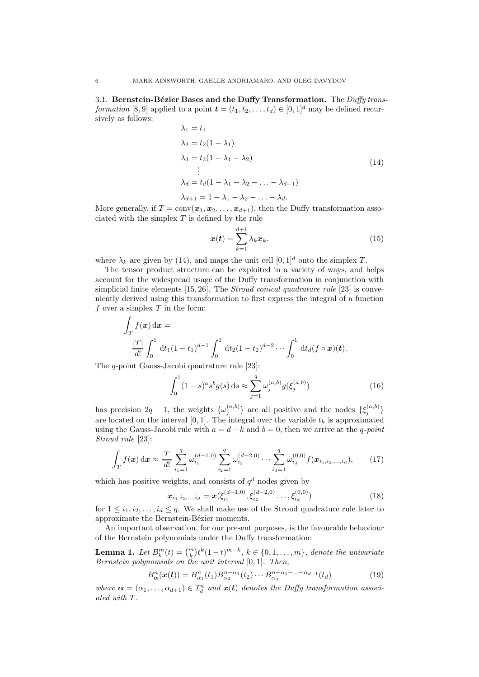3.1. Bernstein-Bézier Bases and the Duffy Transformation. The Duffy transformation [8, 9] applied to a point  $\mathbf{t} = (t_1, t_2, \ldots, t_d) \in [0, 1]^d$  may be defined recursively as follows:

$$
\lambda_1 = t_1
$$
  
\n
$$
\lambda_2 = t_2(1 - \lambda_1)
$$
  
\n
$$
\lambda_3 = t_3(1 - \lambda_1 - \lambda_2)
$$
  
\n
$$
\vdots
$$
  
\n
$$
\lambda_d = t_d(1 - \lambda_1 - \lambda_2 - \ldots - \lambda_{d-1})
$$
  
\n
$$
\lambda_{d+1} = 1 - \lambda_1 - \lambda_2 - \ldots - \lambda_d.
$$
  
\n(14)

More generally, if  $T = \text{conv}(\boldsymbol{x}_1, \boldsymbol{x}_2, \dots, \boldsymbol{x}_{d+1})$ , then the Duffy transformation associated with the simplex  $T$  is defined by the rule

$$
\boldsymbol{x}(t) = \sum_{k=1}^{d+1} \lambda_k \boldsymbol{x}_k, \tag{15}
$$

where  $\lambda_k$  are given by (14), and maps the unit cell  $[0, 1]^d$  onto the simplex T.

The tensor product structure can be exploited in a variety of ways, and helps account for the widespread usage of the Duffy transformation in conjunction with simplicial finite elements [15, 26]. The *Stroud conical quadrature rule* [23] is conveniently derived using this transformation to first express the integral of a function f over a simplex  $T$  in the form:

$$
\int_{T} f(\mathbf{x}) d\mathbf{x} =
$$
\n
$$
\frac{|T|}{d!} \int_{0}^{1} dt_{1} (1-t_{1})^{d-1} \int_{0}^{1} dt_{2} (1-t_{2})^{d-2} \cdots \int_{0}^{1} dt_{d} (f \circ \mathbf{x}) (\mathbf{t}).
$$

The q-point Gauss-Jacobi quadrature rule [23]:

$$
\int_0^1 (1-s)^a s^b g(s) \, ds \approx \sum_{j=1}^q \omega_j^{(a,b)} g(\xi_j^{(a,b)}) \tag{16}
$$

has precision  $2q-1$ , the weights  $\{\omega_j^{(a,b)}\}$  are all positive and the nodes  $\{\xi_j^{(a,b)}\}$ are located on the interval [0, 1]. The integral over the variable  $t_k$  is approximated using the Gauss-Jacobi rule with  $a = d - k$  and  $b = 0$ , then we arrive at the q-point Stroud rule [23]:

$$
\int_{T} f(\boldsymbol{x}) d\boldsymbol{x} \approx \frac{|T|}{d!} \sum_{i_1=1}^{q} \omega_{i_1}^{(d-1,0)} \sum_{i_2=1}^{q} \omega_{i_2}^{(d-2,0)} \cdots \sum_{i_d=1}^{q} \omega_{i_d}^{(0,0)} f(\boldsymbol{x}_{i_1,i_2,\ldots,i_d}), \qquad (17)
$$

which has positive weights, and consists of  $q<sup>d</sup>$  nodes given by

$$
\boldsymbol{x}_{i_1, i_2, \dots, i_d} = \boldsymbol{x}(\xi_{i_1}^{(d-1, 0)}, \xi_{i_2}^{(d-2, 0)} \dots, \xi_{i_d}^{(0, 0)})
$$
(18)

for  $1 \leq i_1, i_2, \ldots, i_d \leq q$ . We shall make use of the Stroud quadrature rule later to approximate the Bernstein-Bézier moments.

An important observation, for our present purposes, is the favourable behaviour of the Bernstein polynomials under the Duffy transformation:

**Lemma 1.** Let  $B_k^m(t) = \binom{m}{k} t^k (1-t)^{m-k}, k \in \{0, 1, ..., m\}$ , denote the univariate Bernstein polynomials on the unit interval [0, 1]. Then,

$$
B_{\alpha}^{n}(\boldsymbol{x}(t)) = B_{\alpha_{1}}^{n}(t_{1}) B_{\alpha_{2}}^{n-\alpha_{1}}(t_{2}) \cdots B_{\alpha_{d}}^{n-\alpha_{1}-\dots-\alpha_{d-1}}(t_{d})
$$
\n(19)

where  $\boldsymbol{\alpha} = (\alpha_1, \dots, \alpha_{d+1}) \in \mathcal{I}_d^n$  and  $\boldsymbol{x}(t)$  denotes the Duffy transformation associated with T .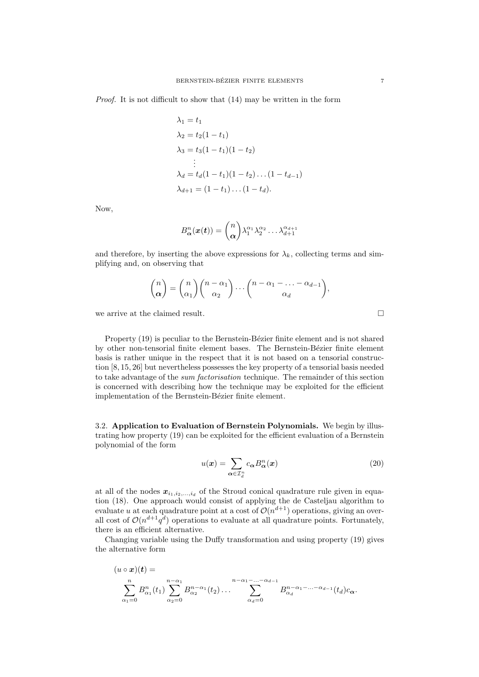Proof. It is not difficult to show that (14) may be written in the form

$$
\lambda_1 = t_1
$$
  
\n
$$
\lambda_2 = t_2(1 - t_1)
$$
  
\n
$$
\lambda_3 = t_3(1 - t_1)(1 - t_2)
$$
  
\n
$$
\vdots
$$
  
\n
$$
\lambda_d = t_d(1 - t_1)(1 - t_2) \dots (1 - t_{d-1})
$$
  
\n
$$
\lambda_{d+1} = (1 - t_1) \dots (1 - t_d).
$$

Now,

$$
B_{\boldsymbol{\alpha}}^n(\boldsymbol{x}(t)) = \binom{n}{\boldsymbol{\alpha}} \lambda_1^{\alpha_1} \lambda_2^{\alpha_2} \ldots \lambda_{d+1}^{\alpha_{d+1}}
$$

and therefore, by inserting the above expressions for  $\lambda_k$ , collecting terms and simplifying and, on observing that

$$
\binom{n}{\alpha} = \binom{n}{\alpha_1} \binom{n-\alpha_1}{\alpha_2} \cdots \binom{n-\alpha_1 - \ldots - \alpha_{d-1}}{\alpha_d},
$$

we arrive at the claimed result.

Property (19) is peculiar to the Bernstein-Bézier finite element and is not shared by other non-tensorial finite element bases. The Bernstein-Bézier finite element basis is rather unique in the respect that it is not based on a tensorial construction [8, 15, 26] but nevertheless possesses the key property of a tensorial basis needed to take advantage of the sum factorisation technique. The remainder of this section is concerned with describing how the technique may be exploited for the efficient implementation of the Bernstein-Bézier finite element.

3.2. Application to Evaluation of Bernstein Polynomials. We begin by illustrating how property (19) can be exploited for the efficient evaluation of a Bernstein polynomial of the form

$$
u(\boldsymbol{x}) = \sum_{\boldsymbol{\alpha} \in \mathcal{I}_d^n} c_{\boldsymbol{\alpha}} B_{\boldsymbol{\alpha}}^n(\boldsymbol{x})
$$
(20)

at all of the nodes  $x_{i_1,i_2,...,i_d}$  of the Stroud conical quadrature rule given in equation (18). One approach would consist of applying the de Casteljau algorithm to evaluate u at each quadrature point at a cost of  $\mathcal{O}(n^{d+1})$  operations, giving an overall cost of  $\mathcal{O}(n^{d+1}q^d)$  operations to evaluate at all quadrature points. Fortunately, there is an efficient alternative.

Changing variable using the Duffy transformation and using property (19) gives the alternative form

$$
(u\circ x)(t) = \sum_{\substack{n\\ \alpha_1=0}}^n B_{\alpha_1}^n(t_1) \sum_{\alpha_2=0}^{n-\alpha_1} B_{\alpha_2}^{n-\alpha_1}(t_2) \dots \sum_{\alpha_d=0}^{n-\alpha_1-\dots-\alpha_{d-1}} B_{\alpha_d}^{n-\alpha_1-\dots-\alpha_{d-1}}(t_d) c_{\alpha}.
$$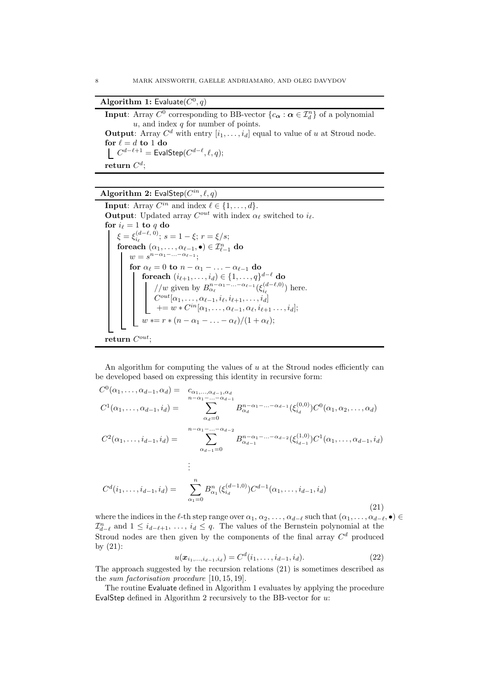## Algorithm 1: Evaluate $(C^0, q)$

**Input:** Array  $C^0$  corresponding to BB-vector  $\{c_{\alpha} : \alpha \in \mathcal{I}_d^n\}$  of a polynomial  $u$ , and index  $q$  for number of points. **Output:** Array  $C^d$  with entry  $[i_1, \ldots, i_d]$  equal to value of u at Stroud node. for  $\ell=d$  to  $1$  do  $C^{d-\ell+1} = \mathsf{EvalStep}(C^{d-\ell},\ell,q);$  ${\bf return} \; C^d;$ 

### Algorithm 2: EvalStep $(C^{in}, \ell, q)$

**Input**: Array  $C^{in}$  and index  $\ell \in \{1, ..., d\}$ . **Output**: Updated array  $C^{out}$  with index  $\alpha_{\ell}$  switched to  $i_{\ell}$ . for  $i_\ell = 1$  to q do  $\xi = \xi_{i_\ell}^{(d-\ell, 0)}$ ;  $s = 1-\xi$ ;  $r = \xi/s$ ; foreach  $(\alpha_1, \ldots, \alpha_{\ell-1}, \bullet) \in \mathcal{I}_{\ell-1}^n$  do  $w=s^{n-\alpha_1-\ldots-\alpha_{\ell-1}};$ for  $\alpha_{\ell} = 0$  to  $n - \alpha_1 - \ldots - \alpha_{\ell-1}$  do  ${\rm \bf foreach\ } (i_{\ell+1},\ldots,i_d)\in \{1,\ldots,q\}^{d-\ell}$  do //w given by  $B^{n-\alpha_1-\ldots-\alpha_{\ell-1}}_{\alpha_{\ell}}(\xi_{i_{\ell}}^{(d-\ell,0)})$  here.  $C^{out}[\alpha_1,\ldots,\alpha_{\ell-1},i_\ell,i_{\ell+1},\ldots,i_d]$  $+= w * C^{in}[\alpha_1, \ldots, \alpha_{\ell-1}, \alpha_{\ell}, i_{\ell+1} \ldots, i_d];$  $w \vcentcolon= r \vcentcolon (n - \alpha_1 - \ldots - \alpha_\ell)/(1 + \alpha_\ell);$  $return C^{out};$ 

An algorithm for computing the values of  $u$  at the Stroud nodes efficiently can be developed based on expressing this identity in recursive form:

$$
C^{0}(\alpha_{1},\ldots,\alpha_{d-1},\alpha_{d}) = c_{\alpha_{1},\ldots,\alpha_{d-1},\alpha_{d}}
$$
  
\n
$$
C^{1}(\alpha_{1},\ldots,\alpha_{d-1},i_{d}) = \sum_{\alpha_{d}=0}^{n-\alpha_{1}-\ldots-\alpha_{d-1}} B_{\alpha_{d}}^{n-\alpha_{1}-\ldots-\alpha_{d-1}}(\xi_{i_{d}}^{(0,0)}) C^{0}(\alpha_{1},\alpha_{2},\ldots,\alpha_{d})
$$
  
\n
$$
C^{2}(\alpha_{1},\ldots,i_{d-1},i_{d}) = \sum_{\alpha_{d-1}=0}^{n-\alpha_{1}-\ldots-\alpha_{d-2}} B_{\alpha_{d-1}}^{n-\alpha_{1}-\ldots-\alpha_{d-2}}(\xi_{i_{d-1}}^{(1,0)}) C^{1}(\alpha_{1},\ldots,\alpha_{d-1},i_{d})
$$
  
\n
$$
\vdots
$$
  
\n
$$
C^{d}(i_{1},\ldots,i_{d-1},i_{d}) = \sum_{\alpha_{1}=0}^{n} B_{\alpha_{1}}^{n}(\xi_{i_{d}}^{(d-1,0)}) C^{d-1}(\alpha_{1},\ldots,i_{d-1},i_{d})
$$
  
\n(21)

where the indices in the  $\ell$ -th step range over  $\alpha_1, \alpha_2, \ldots, \alpha_{d-\ell}$  such that  $(\alpha_1, \ldots, \alpha_{d-\ell}, \bullet) \in$  $\mathcal{I}_{d-\ell}^n$  and  $1 \leq i_{d-\ell+1}, \ldots, i_d \leq q$ . The values of the Bernstein polynomial at the Stroud nodes are then given by the components of the final array  $C<sup>d</sup>$  produced by (21):

$$
u(\boldsymbol{x}_{i_1,\ldots,i_{d-1},i_d}) = C^d(i_1,\ldots,i_{d-1},i_d). \tag{22}
$$

The approach suggested by the recursion relations (21) is sometimes described as the sum factorisation procedure [10, 15, 19].

The routine Evaluate defined in Algorithm 1 evaluates by applying the procedure EvalStep defined in Algorithm 2 recursively to the BB-vector for u: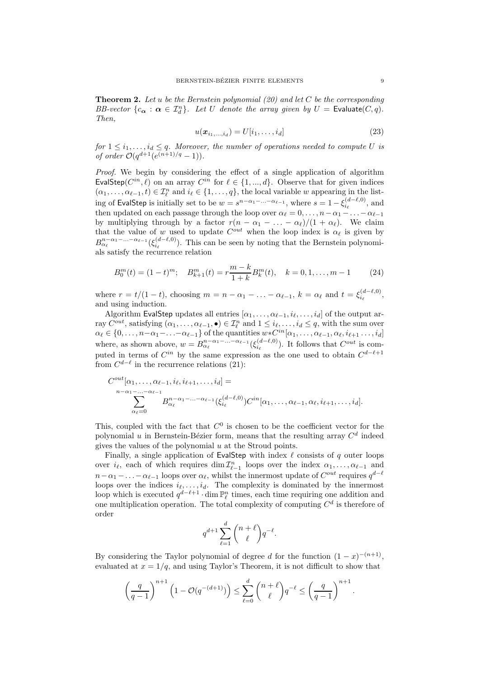**Theorem 2.** Let u be the Bernstein polynomial (20) and let C be the corresponding BB-vector  $\{c_{\alpha}: \alpha \in \mathcal{I}_{d}^{n}\}$ . Let U denote the array given by  $U =$  Evaluate $(C, q)$ . Then,

$$
u(\boldsymbol{x}_{i_1,\ldots,i_d}) = U[i_1,\ldots,i_d]
$$
\n(23)

for  $1 \leq i_1, \ldots, i_d \leq q$ . Moreover, the number of operations needed to compute U is of order  $O(q^{d+1}(e^{(n+1)/q}-1)).$ 

Proof. We begin by considering the effect of a single application of algorithm EvalStep( $C^{in}, \ell$ ) on an array  $C^{in}$  for  $\ell \in \{1, ..., d\}$ . Observe that for given indices  $(\alpha_1, \ldots, \alpha_{\ell-1}, t) \in \mathcal{I}_{\ell}^n$  and  $i_{\ell} \in \{1, \ldots, q\}$ , the local variable w appearing in the listing of EvalStep is initially set to be  $w = s^{n-\alpha_1-\ldots-\alpha_{\ell-1}},$  where  $s = 1 - \xi_{i_\ell}^{(d-\ell,0)},$  and then updated on each passage through the loop over  $\alpha_{\ell} = 0, \ldots, n - \alpha_1 - \ldots - \alpha_{\ell-1}$ by multiplying through by a factor  $r(n - \alpha_1 - \ldots - \alpha_\ell)/(1 + \alpha_\ell)$ . We claim that the value of w used to update  $C^{out}$  when the loop index is  $\alpha_{\ell}$  is given by  $B^{n-\alpha_1-\ldots-\alpha_{\ell-1}}_{\alpha_{\ell}}(\xi^{(d-\ell,0)}_{i_{\ell}})$ . This can be seen by noting that the Bernstein polynomials satisfy the recurrence relation

$$
B_0^m(t) = (1-t)^m; \quad B_{k+1}^m(t) = r \frac{m-k}{1+k} B_k^m(t), \quad k = 0, 1, \dots, m-1 \tag{24}
$$

where  $r = t/(1-t)$ , choosing  $m = n - \alpha_1 - \ldots - \alpha_{\ell-1}$ ,  $k = \alpha_{\ell}$  and  $t = \xi_{i_{\ell}}^{(d-\ell,0)}$ , and using induction.

Algorithm EvalStep updates all entries  $[\alpha_1, \ldots, \alpha_{\ell-1}, i_{\ell}, \ldots, i_d]$  of the output array  $C^{out}$ , satisfying  $(\alpha_1,\ldots,\alpha_{\ell-1},\bullet) \in \mathcal{I}_{\ell}^n$  and  $1 \leq i_{\ell},\ldots,i_d \leq q$ , with the sum over  $\alpha_\ell \in \{0, \ldots, n-\alpha_1-\ldots-\alpha_{\ell-1}\}\$  of the quantities  $w*C^{in}[\alpha_1, \ldots, \alpha_{\ell-1}, \alpha_\ell, i_{\ell+1} \ldots, i_d]$ where, as shown above,  $w = B^{n-\alpha_1-\ldots-\alpha_{\ell-1}}_{\alpha_{\ell}}(\xi^{(d-\ell,0)}_{i_{\ell}})$ . It follows that  $C^{out}$  is computed in terms of  $C^{in}$  by the same expression as the one used to obtain  $C^{d-\ell+1}$ from  $C^{d-\ell}$  in the recurrence relations (21):

$$
C^{out}[\alpha_1,\ldots,\alpha_{\ell-1},i_{\ell},i_{\ell+1},\ldots,i_d] =
$$
  
\n
$$
\sum_{\alpha_{\ell}=0}^{n-\alpha_1-\ldots-\alpha_{\ell-1}} B^{n-\alpha_1-\ldots-\alpha_{\ell-1}}_{\alpha_{\ell}}(\xi_{i_{\ell}}^{(d-\ell,0)}) C^{in}[\alpha_1,\ldots,\alpha_{\ell-1},\alpha_{\ell},i_{\ell+1},\ldots,i_d].
$$

This, coupled with the fact that  $C^0$  is chosen to be the coefficient vector for the polynomial  $u$  in Bernstein-Bézier form, means that the resulting array  $C<sup>d</sup>$  indeed gives the values of the polynomial  $u$  at the Stroud points.

Finally, a single application of EvalStep with index  $\ell$  consists of q outer loops over  $i_{\ell}$ , each of which requires  $\dim \mathcal{I}_{\ell-1}^n$  loops over the index  $\alpha_1, \ldots, \alpha_{\ell-1}$  and  $n-\alpha_1-\ldots-\alpha_{\ell-1}$  loops over  $\alpha_{\ell}$ , whilst the innermost update of  $C^{out}$  requires  $q^{d-\ell}$ loops over the indices  $i_{\ell}, \ldots, i_{d}$ . The complexity is dominated by the innermost loop which is executed  $q^{d-\ell+1} \cdot \dim \mathbb{P}_{\ell}^n$  times, each time requiring one addition and one multiplication operation. The total complexity of computing  $C<sup>d</sup>$  is therefore of order

$$
q^{d+1} \sum_{\ell=1}^d \binom{n+\ell}{\ell} q^{-\ell}.
$$

By considering the Taylor polynomial of degree d for the function  $(1-x)^{-(n+1)}$ , evaluated at  $x = 1/q$ , and using Taylor's Theorem, it is not difficult to show that

$$
\left(\frac{q}{q-1}\right)^{n+1} \left(1 - \mathcal{O}(q^{-(d+1)})\right) \le \sum_{\ell=0}^d {n+\ell \choose \ell} q^{-\ell} \le \left(\frac{q}{q-1}\right)^{n+1}
$$

.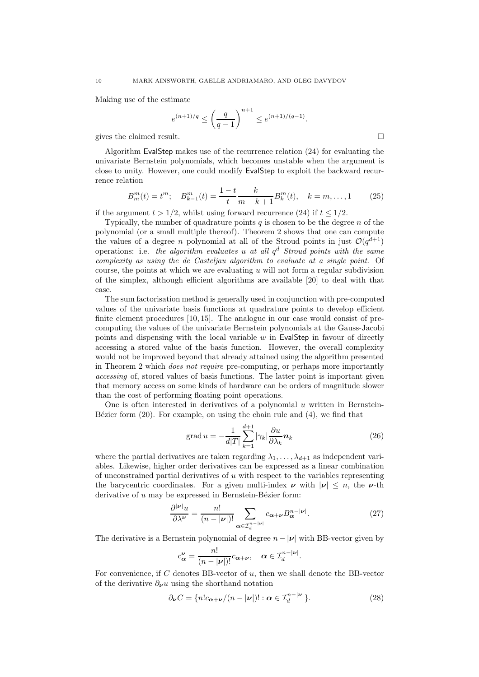Making use of the estimate

$$
e^{(n+1)/q} \le \left(\frac{q}{q-1}\right)^{n+1} \le e^{(n+1)/(q-1)}.
$$

gives the claimed result.

Algorithm EvalStep makes use of the recurrence relation (24) for evaluating the univariate Bernstein polynomials, which becomes unstable when the argument is close to unity. However, one could modify EvalStep to exploit the backward recurrence relation

$$
B_m^m(t) = t^m; \quad B_{k-1}^m(t) = \frac{1-t}{t} \frac{k}{m-k+1} B_k^m(t), \quad k = m, \dots, 1 \tag{25}
$$

if the argument  $t > 1/2$ , whilst using forward recurrence (24) if  $t \le 1/2$ .

Typically, the number of quadrature points  $q$  is chosen to be the degree  $n$  of the polynomial (or a small multiple thereof). Theorem 2 shows that one can compute the values of a degree n polynomial at all of the Stroud points in just  $\mathcal{O}(q^{d+1})$ operations: i.e. the algorithm evaluates u at all  $q^d$  Stroud points with the same complexity as using the de Casteljau algorithm to evaluate at a single point. Of course, the points at which we are evaluating  $u$  will not form a regular subdivision of the simplex, although efficient algorithms are available [20] to deal with that case.

The sum factorisation method is generally used in conjunction with pre-computed values of the univariate basis functions at quadrature points to develop efficient finite element procedures [10, 15]. The analogue in our case would consist of precomputing the values of the univariate Bernstein polynomials at the Gauss-Jacobi points and dispensing with the local variable  $w$  in EvalStep in favour of directly accessing a stored value of the basis function. However, the overall complexity would not be improved beyond that already attained using the algorithm presented in Theorem 2 which does not require pre-computing, or perhaps more importantly accessing of, stored values of basis functions. The latter point is important given that memory access on some kinds of hardware can be orders of magnitude slower than the cost of performing floating point operations.

One is often interested in derivatives of a polynomial  $u$  written in Bernstein-B $\acute{e}z$ ier form (20). For example, on using the chain rule and (4), we find that

grad 
$$
u = -\frac{1}{d|T|} \sum_{k=1}^{d+1} |\gamma_k| \frac{\partial u}{\partial \lambda_k} n_k
$$
 (26)

where the partial derivatives are taken regarding  $\lambda_1, \ldots, \lambda_{d+1}$  as independent variables. Likewise, higher order derivatives can be expressed as a linear combination of unconstrained partial derivatives of  $u$  with respect to the variables representing the barycentric coordinates. For a given multi-index  $\nu$  with  $|\nu| \leq n$ , the  $\nu$ -th derivative of  $u$  may be expressed in Bernstein-Bézier form:

$$
\frac{\partial^{|\nu|} u}{\partial \lambda^{\nu}} = \frac{n!}{(n - |\nu|)!} \sum_{\alpha \in \mathcal{I}_d^{n - |\nu|}} c_{\alpha + \nu} B_{\alpha}^{n - |\nu|}.
$$
 (27)

The derivative is a Bernstein polynomial of degree  $n - |\nu|$  with BB-vector given by

$$
c_{\alpha}^{\nu} = \frac{n!}{(n - |\nu|)!} c_{\alpha + \nu}, \quad \alpha \in \mathcal{I}_d^{n - |\nu|}.
$$

For convenience, if  $C$  denotes BB-vector of  $u$ , then we shall denote the BB-vector of the derivative  $\partial_{\nu}u$  using the shorthand notation

$$
\partial_{\nu} C = \{ n! c_{\alpha + \nu} / (n - |\nu|) : \alpha \in \mathcal{I}_d^{n - |\nu|} \}.
$$
 (28)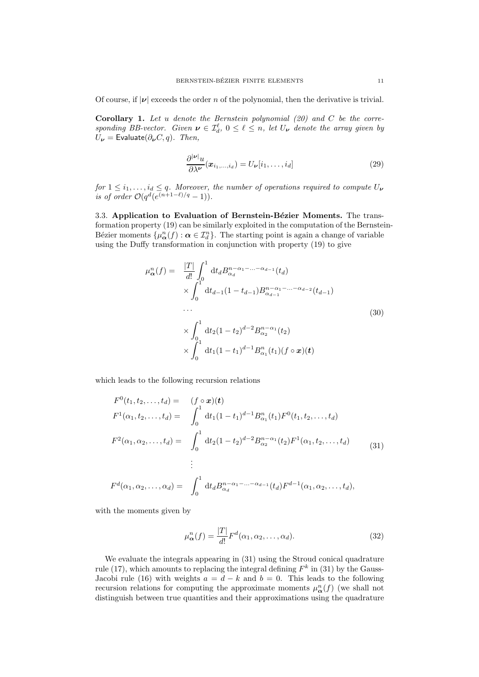Of course, if  $|v|$  exceeds the order n of the polynomial, then the derivative is trivial.

**Corollary 1.** Let u denote the Bernstein polynomial  $(20)$  and C be the corresponding BB-vector. Given  $\boldsymbol{\nu} \in \mathcal{I}_d^{\ell}$ ,  $0 \leq \ell \leq n$ , let  $U_{\boldsymbol{\nu}}$  denote the array given by  $U_{\nu}$  = Evaluate( $\partial_{\nu} C, q$ ). Then,

$$
\frac{\partial^{|\nu|} u}{\partial \lambda^{\nu}}(\boldsymbol{x}_{i_1,\ldots,i_d}) = U_{\nu}[i_1,\ldots,i_d]
$$
\n(29)

for  $1 \leq i_1, \ldots, i_d \leq q$ . Moreover, the number of operations required to compute  $U_{\boldsymbol{\nu}}$ is of order  $\mathcal{O}(q^d(e^{(n+1-\ell)/q}-1)).$ 

3.3. Application to Evaluation of Bernstein-Bézier Moments. The transformation property (19) can be similarly exploited in the computation of the Bernstein-Bézier moments  $\{\mu_{\alpha}^{n}(f): \alpha \in \mathcal{I}_{d}^{n}\}\.$  The starting point is again a change of variable using the Duffy transformation in conjunction with property (19) to give

$$
\mu_{\alpha}^{n}(f) = \frac{|T|}{d!} \int_{0}^{1} dt_{d} B_{\alpha_{d}}^{n-\alpha_{1}-...-\alpha_{d-1}}(t_{d})
$$
  
\n
$$
\times \int_{0}^{1} dt_{d-1} (1-t_{d-1}) B_{\alpha_{d-1}}^{n-\alpha_{1}-...-\alpha_{d-2}}(t_{d-1})
$$
  
\n...  
\n
$$
\times \int_{0}^{1} dt_{2} (1-t_{2})^{d-2} B_{\alpha_{2}}^{n-\alpha_{1}}(t_{2})
$$
  
\n
$$
\times \int_{0}^{1} dt_{1} (1-t_{1})^{d-1} B_{\alpha_{1}}^{n}(t_{1}) (f \circ x)(t)
$$
  
\n(30)

which leads to the following recursion relations

$$
F^{0}(t_{1}, t_{2},..., t_{d}) = (f \circ \mathbf{x})(t)
$$
  
\n
$$
F^{1}(\alpha_{1}, t_{2},..., t_{d}) = \int_{0}^{1} dt_{1}(1-t_{1})^{d-1} B_{\alpha_{1}}^{n}(t_{1}) F^{0}(t_{1}, t_{2},..., t_{d})
$$
  
\n
$$
F^{2}(\alpha_{1}, \alpha_{2},..., t_{d}) = \int_{0}^{1} dt_{2}(1-t_{2})^{d-2} B_{\alpha_{2}}^{n-\alpha_{1}}(t_{2}) F^{1}(\alpha_{1}, t_{2},..., t_{d})
$$
  
\n
$$
\vdots
$$
  
\n
$$
F^{d}(\alpha_{1}, \alpha_{2},..., \alpha_{d}) = \int_{0}^{1} dt_{d} B_{\alpha_{d}}^{n-\alpha_{1}-...-\alpha_{d-1}}(t_{d}) F^{d-1}(\alpha_{1}, \alpha_{2},..., t_{d}),
$$
\n(31)

with the moments given by

$$
\mu_{\alpha}^{n}(f) = \frac{|T|}{d!} F^{d}(\alpha_{1}, \alpha_{2}, \dots, \alpha_{d}).
$$
\n(32)

We evaluate the integrals appearing in (31) using the Stroud conical quadrature rule (17), which amounts to replacing the integral defining  $F<sup>k</sup>$  in (31) by the Gauss-Jacobi rule (16) with weights  $a = d - k$  and  $b = 0$ . This leads to the following recursion relations for computing the approximate moments  $\mu_{\alpha}^{n}(f)$  (we shall not distinguish between true quantities and their approximations using the quadrature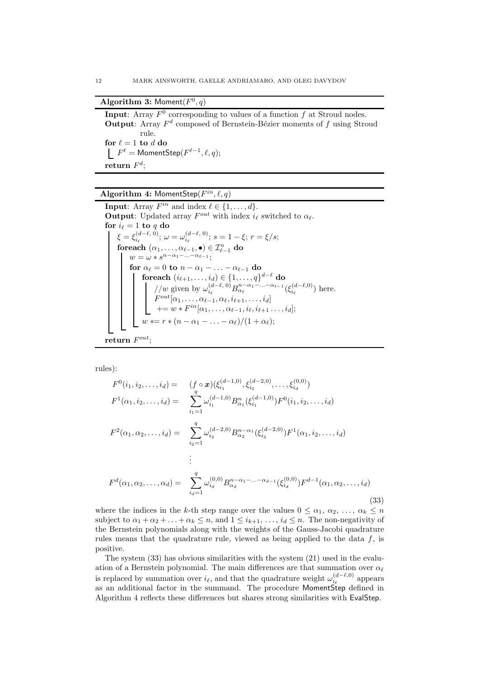### Algorithm 3: Moment $(F^0, q)$

**Input:** Array  $F^0$  corresponding to values of a function f at Stroud nodes. **Output:** Array  $F^d$  composed of Bernstein-Bézier moments of f using Stroud rule. for  $\ell=1$  to  $d$  do  $F^\ell = \mathsf{MomentStep}(F^{\ell-1}, \ell, q);$  $\mathbf{return} \; F^d;$ 

### Algorithm 4: MomentStep $(F^{in}, \ell, q)$

**Input**: Array  $F^{in}$  and index  $\ell \in \{1, \ldots, d\}.$ **Output**: Updated array  $F^{out}$  with index  $i_{\ell}$  switched to  $\alpha_{\ell}$ . for  $i_\ell = 1$  to q do  $\xi = \xi_{i_\ell}^{(d-\ell, 0)}$ ;  $\omega = \omega_{i_\ell}^{(d-\ell, 0)}$ ;  $s = 1 - \xi$ ;  $r = \xi/s$ ; foreach  $(\alpha_1,\ldots,\alpha_{\ell-1},\bullet) \in \mathcal{I}_{\ell-1}^n$  do  $w = \omega * s^{n-\alpha_1-\ldots-\alpha_{\ell-1}};$ for  $\alpha_{\ell} = 0$  to  $n - \alpha_1 - \ldots - \alpha_{\ell-1}$  do  ${\rm \bf foreach\ } (i_{\ell+1},\ldots,i_d)\in \{1,\ldots,q\}^{d-\ell}$  do //w given by  $\omega_{i_\ell}^{(d-\ell, 0)} B_{\alpha_\ell}^{n-\alpha_1-\ldots-\alpha_{\ell-1}} (\xi_{i_\ell}^{(d-\ell, 0)})$  here.  $F^{out}[\alpha_1,\ldots,\alpha_{\ell-1},\alpha_{\ell},i_{\ell+1},\ldots,i_d]$  $+= w * F^{in}[\alpha_1, \ldots, \alpha_{\ell-1}, i_{\ell}, i_{\ell+1} \ldots, i_d];$  $w \vcentcolon= r \vcentcolon (n - \alpha_1 - \ldots - \alpha_\ell)/(1 + \alpha_\ell);$  $\mathbf{return} \; F^{out};$ 

rules):

$$
F^{0}(i_{1}, i_{2},..., i_{d}) = (f \circ \boldsymbol{x}) (\xi_{i_{1}}^{(d-1, 0)}, \xi_{i_{2}}^{(d-2, 0)},..., \xi_{i_{d}}^{(0, 0)})
$$
  
\n
$$
F^{1}(\alpha_{1}, i_{2},..., i_{d}) = \sum_{i_{1}=1}^{q} \omega_{i_{1}}^{(d-1, 0)} B_{\alpha_{1}}^{n} (\xi_{i_{1}}^{(d-1, 0)}) F^{0}(i_{1}, i_{2},..., i_{d})
$$
  
\n
$$
F^{2}(\alpha_{1}, \alpha_{2},..., i_{d}) = \sum_{i_{2}=1}^{q} \omega_{i_{2}}^{(d-2, 0)} B_{\alpha_{2}}^{n-\alpha_{1}} (\xi_{i_{2}}^{(d-2, 0)}) F^{1}(\alpha_{1}, i_{2},..., i_{d})
$$
  
\n
$$
\vdots
$$
  
\n
$$
F^{d}(\alpha_{1}, \alpha_{2},..., \alpha_{d}) = \sum_{i_{d}=1}^{q} \omega_{i_{d}}^{(0, 0)} B_{\alpha_{d}}^{n-\alpha_{1}-...-\alpha_{d-1}} (\xi_{i_{d}}^{(0, 0)}) F^{d-1}(\alpha_{1}, \alpha_{2},..., i_{d})
$$
  
\n(33)

where the indices in the k-th step range over the values  $0 \leq \alpha_1, \alpha_2, \ldots, \alpha_k \leq n$ subject to  $\alpha_1 + \alpha_2 + \ldots + \alpha_k \leq n$ , and  $1 \leq i_{k+1}, \ldots, i_d \leq n$ . The non-negativity of the Bernstein polynomials along with the weights of the Gauss-Jacobi quadrature rules means that the quadrature rule, viewed as being applied to the data  $f$ , is positive.

The system (33) has obvious similarities with the system (21) used in the evaluation of a Bernstein polynomial. The main differences are that summation over  $\alpha_{\ell}$ is replaced by summation over  $i_{\ell}$ , and that the quadrature weight  $\omega_{i_{\ell}}^{(d-\ell,0)}$  $\sum_{i_\ell}^{(a-\ell,0)}$  appears as an additional factor in the summand. The procedure MomentStep defined in Algorithm 4 reflects these differences but shares strong similarities with EvalStep.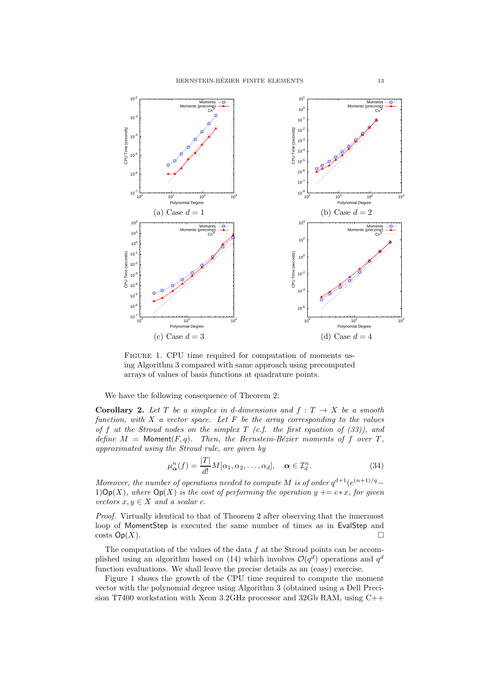

FIGURE 1. CPU time required for computation of moments using Algorithm 3 compared with same approach using precomputed arrays of values of basis functions at quadrature points.

We have the following consequence of Theorem 2:

**Corollary 2.** Let T be a simplex in d-dimensions and  $f: T \rightarrow X$  be a smooth function, with  $X$  a vector space. Let  $F$  be the array corresponding to the values of f at the Stroud nodes on the simplex  $T$  (c.f. the first equation of (33)), and define  $M = \text{Moment}(F, q)$ . Then, the Bernstein-Bézier moments of f over T, approximated using the Stroud rule, are given by

$$
\mu_{\boldsymbol{\alpha}}^n(f) = \frac{|T|}{d!} M[\alpha_1, \alpha_2, \dots, \alpha_d], \quad \boldsymbol{\alpha} \in \mathcal{I}_d^n. \tag{34}
$$

Moreover, the number of operations needed to compute M is of order  $q^{d+1}(e^{(n+1)/q}-$ 1) $\mathsf{Op}(X)$ , where  $\mathsf{Op}(X)$  is the cost of performing the operation  $y \models c*x$ , for given vectors  $x, y \in X$  and a scalar c.

Proof. Virtually identical to that of Theorem 2 after observing that the innermost loop of MomentStep is executed the same number of times as in EvalStep and  $\cos(s)$   $\Box$ 

The computation of the values of the data  $f$  at the Stroud points can be accomplished using an algorithm based on (14) which involves  $\mathcal{O}(q^d)$  operations and  $q^d$ function evaluations. We shall leave the precise details as an (easy) exercise.

Figure 1 shows the growth of the CPU time required to compute the moment vector with the polynomial degree using Algorithm 3 (obtained using a Dell Precision T7400 workstation with Xeon 3.2GHz processor and 32Gb RAM, using C++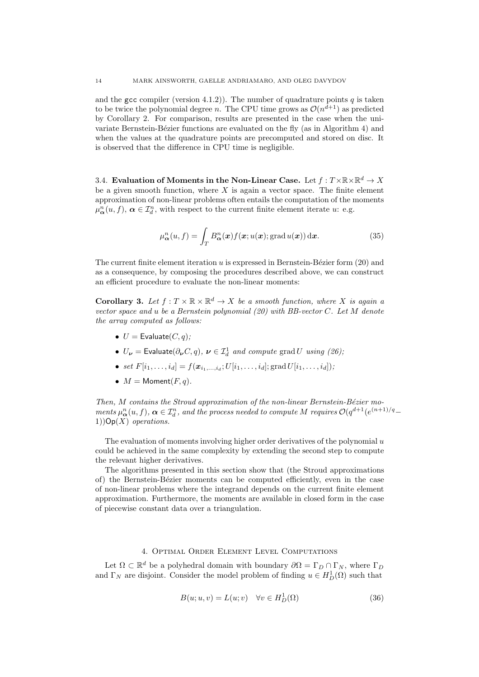and the gcc compiler (version 4.1.2)). The number of quadrature points q is taken to be twice the polynomial degree n. The CPU time grows as  $\mathcal{O}(n^{d+1})$  as predicted by Corollary 2. For comparison, results are presented in the case when the univariate Bernstein-Bézier functions are evaluated on the fly (as in Algorithm 4) and when the values at the quadrature points are precomputed and stored on disc. It is observed that the difference in CPU time is negligible.

3.4. Evaluation of Moments in the Non-Linear Case. Let  $f: T \times \mathbb{R} \times \mathbb{R}^d \to X$ be a given smooth function, where  $X$  is again a vector space. The finite element approximation of non-linear problems often entails the computation of the moments  $\mu_{\alpha}^{n}(u, f), \alpha \in \mathcal{I}_{d}^{n}$ , with respect to the current finite element iterate u: e.g.

$$
\mu_{\alpha}^{n}(u,f) = \int_{T} B_{\alpha}^{n}(\boldsymbol{x}) f(\boldsymbol{x};u(\boldsymbol{x});\text{grad }u(\boldsymbol{x})) \,\mathrm{d}\boldsymbol{x}.\tag{35}
$$

The current finite element iteration  $u$  is expressed in Bernstein-Bézier form  $(20)$  and as a consequence, by composing the procedures described above, we can construct an efficient procedure to evaluate the non-linear moments:

**Corollary 3.** Let  $f: T \times \mathbb{R} \times \mathbb{R}^d \rightarrow X$  be a smooth function, where X is again a vector space and u be a Bernstein polynomial  $(20)$  with BB-vector C. Let M denote the array computed as follows:

- $U =$  Evaluate $(C, q)$ ;
- $U_{\nu}$  = Evaluate $(\partial_{\nu} C, q)$ ,  $\nu \in \mathcal{I}_d^1$  and compute grad U using (26);
- set  $F[i_1,\ldots,i_d] = f(\boldsymbol{x}_{i_1,\ldots,i_d};U[i_1,\ldots,i_d];\text{grad } U[i_1,\ldots,i_d]);$
- $M = \text{Moment}(F, q)$ .

Then,  $M$  contains the Stroud approximation of the non-linear Bernstein-Bézier moments  $\mu_{\alpha}^n(u, f)$ ,  $\alpha \in \mathcal{I}_d^n$ , and the process needed to compute M requires  $\mathcal{O}(q^{d+1}(e^{(n+1)/q}-$ 1)) $Op(X)$  operations.

The evaluation of moments involving higher order derivatives of the polynomial  $u$ could be achieved in the same complexity by extending the second step to compute the relevant higher derivatives.

The algorithms presented in this section show that (the Stroud approximations of) the Bernstein-B´ezier moments can be computed efficiently, even in the case of non-linear problems where the integrand depends on the current finite element approximation. Furthermore, the moments are available in closed form in the case of piecewise constant data over a triangulation.

### 4. Optimal Order Element Level Computations

Let  $\Omega \subset \mathbb{R}^d$  be a polyhedral domain with boundary  $\partial \Omega = \Gamma_D \cap \Gamma_N$ , where  $\Gamma_D$ and  $\Gamma_N$  are disjoint. Consider the model problem of finding  $u \in H^1_D(\Omega)$  such that

$$
B(u; u, v) = L(u; v) \quad \forall v \in H_D^1(\Omega)
$$
\n(36)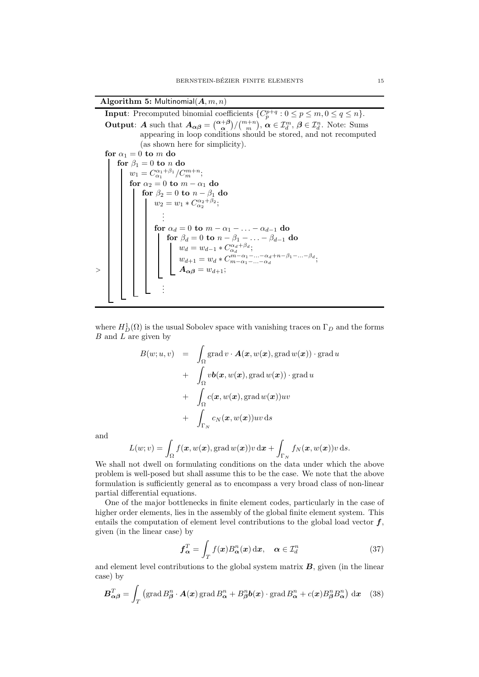Algorithm 5: Multinomial $(A, m, n)$ 

**Input:** Precomputed binomial coefficients  $\{C_p^{p+q} : 0 \le p \le m, 0 \le q \le n\}.$ **Output:** A such that  $A_{\alpha\beta} = \binom{\alpha+\beta}{\alpha}\big/\binom{m+n}{m}$ ,  $\alpha \in \mathcal{I}_d^m$ ,  $\beta \in \mathcal{I}_d^n$ . Note: Sums appearing in loop conditions should be stored, and not recomputed (as shown here for simplicity). for  $\alpha_1 = 0$  to m do for  $\beta_1 = 0$  to n do  $w_1 = C_{\alpha_1}^{\alpha_1 + \beta_1} / C_m^{m+n};$ for  $\alpha_2 = 0$  to  $m - \alpha_1$  do for  $\beta_2=0$  to  $n-\beta_1$  do  $w_2 = w_1 * C_{\alpha_2}^{\alpha_2 + \beta_2};$ . . . for  $\alpha_d = 0$  to  $m - \alpha_1 - \ldots - \alpha_{d-1}$  do for  $\beta_d = 0$  to  $n - \beta_1 - \ldots - \beta_{d-1}$  do  $w_d = w_{d-1} * C_{\alpha_d}^{\alpha_d + \beta_d};$  $w_{d+1} = w_d * C^{m-\alpha_1-\ldots-\alpha_d+n-\beta_1-\ldots-\beta_d}_{m-\alpha_1-\ldots-\alpha_d};$  $>$  | | | | |  $A_{\alpha\beta} = w_{d+1};$ . . .

where  $H_D^1(\Omega)$  is the usual Sobolev space with vanishing traces on  $\Gamma_D$  and the forms  $B$  and  $L$  are given by

$$
B(w; u, v) = \int_{\Omega} \operatorname{grad} v \cdot \mathbf{A}(\mathbf{x}, w(\mathbf{x}), \operatorname{grad} w(\mathbf{x})) \cdot \operatorname{grad} u + \int_{\Omega} v \mathbf{b}(\mathbf{x}, w(\mathbf{x}), \operatorname{grad} w(\mathbf{x})) \cdot \operatorname{grad} u + \int_{\Omega} c(\mathbf{x}, w(\mathbf{x}), \operatorname{grad} w(\mathbf{x})) uv + \int_{\Gamma_N} c_N(\mathbf{x}, w(\mathbf{x})) uv \, ds
$$

and

$$
L(w; v) = \int_{\Omega} f(\boldsymbol{x}, w(\boldsymbol{x}), \operatorname{grad} w(\boldsymbol{x})) v \, d\boldsymbol{x} + \int_{\Gamma_N} f_N(\boldsymbol{x}, w(\boldsymbol{x})) v \, d\boldsymbol{s}.
$$

We shall not dwell on formulating conditions on the data under which the above problem is well-posed but shall assume this to be the case. We note that the above formulation is sufficiently general as to encompass a very broad class of non-linear partial differential equations.

One of the major bottlenecks in finite element codes, particularly in the case of higher order elements, lies in the assembly of the global finite element system. This entails the computation of element level contributions to the global load vector  $f$ , given (in the linear case) by

$$
\boldsymbol{f}_{\boldsymbol{\alpha}}^T = \int_T f(\boldsymbol{x}) B_{\boldsymbol{\alpha}}^n(\boldsymbol{x}) \, \mathrm{d}\boldsymbol{x}, \quad \boldsymbol{\alpha} \in \mathcal{I}_d^n \tag{37}
$$

and element level contributions to the global system matrix  $\bm{B}$ , given (in the linear case) by

$$
\boldsymbol{B}_{\alpha\beta}^T = \int_T (\text{grad}\, B_{\beta}^n \cdot \boldsymbol{A}(\boldsymbol{x}) \, \text{grad}\, B_{\alpha}^n + B_{\beta}^n \boldsymbol{b}(\boldsymbol{x}) \cdot \text{grad}\, B_{\alpha}^n + c(\boldsymbol{x}) B_{\beta}^n B_{\alpha}^n) \, d\boldsymbol{x} \quad (38)
$$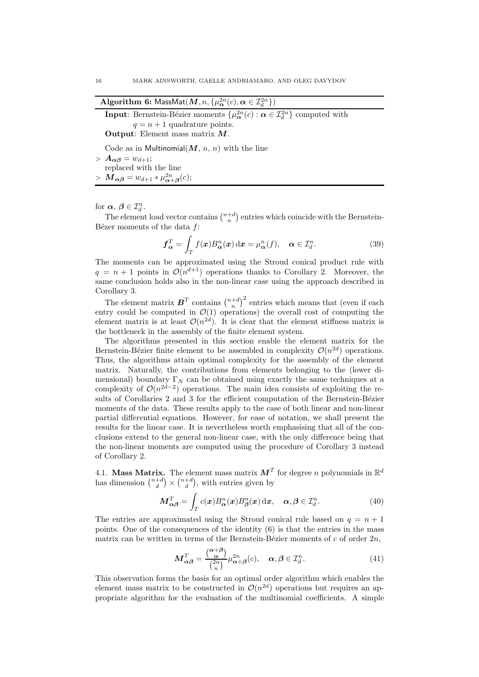| <b>Algorithm 6:</b> MassMat $(M, n, \{\mu_{\alpha}^{2n}(c), \alpha \in \mathcal{I}_{d}^{2n}\})$ |  |
|-------------------------------------------------------------------------------------------------|--|
|-------------------------------------------------------------------------------------------------|--|

**Input**: Bernstein-Bézier moments  $\{\mu_{\alpha}^{2n}(c) : \alpha \in \mathcal{I}_{d}^{2n}\}\)$  computed with  $q = n + 1$  quadrature points. Output: Element mass matrix  $M$ .

Code as in Multinomial $(M, n, n)$  with the line

- $> A_{\alpha\beta} = w_{d+1};$ replaced with the line
- $> M_{\alpha\beta} = w_{d+1} * \mu_{\alpha+\beta}^{2n}(c);$

for  $\boldsymbol{\alpha}, \boldsymbol{\beta} \in \mathcal{I}_d^n$ .

The element load vector contains  $\binom{n+d}{n}$  entries which coincide with the Bernstein-Bézer moments of the data  $f$ :

$$
\boldsymbol{f}_{\boldsymbol{\alpha}}^T = \int_T f(\boldsymbol{x}) B_{\boldsymbol{\alpha}}^n(\boldsymbol{x}) \, \mathrm{d}\boldsymbol{x} = \mu_{\boldsymbol{\alpha}}^n(f), \quad \boldsymbol{\alpha} \in \mathcal{I}_d^n. \tag{39}
$$

The moments can be approximated using the Stroud conical product rule with  $q = n + 1$  points in  $\mathcal{O}(n^{d+1})$  operations thanks to Corollary 2. Moreover, the same conclusion holds also in the non-linear case using the approach described in Corollary 3.

The element matrix  $\boldsymbol{B}^T$  contains  $\binom{n+d}{n}^2$  entries which means that (even if each entry could be computed in  $\mathcal{O}(1)$  operations) the overall cost of computing the element matrix is at least  $\mathcal{O}(n^{2d})$ . It is clear that the element stiffness matrix is the bottleneck in the assembly of the finite element system.

The algorithms presented in this section enable the element matrix for the Bernstein-Bézier finite element to be assembled in complexity  $\mathcal{O}(n^{2d})$  operations. Thus, the algorithms attain optimal complexity for the assembly of the element matrix. Naturally, the contributions from elements belonging to the (lower dimensional) boundary  $\Gamma_N$  can be obtained using exactly the same techniques at a complexity of  $\mathcal{O}(n^{2d-2})$  operations. The main idea consists of exploiting the results of Corollaries 2 and 3 for the efficient computation of the Bernstein-Bézier moments of the data. These results apply to the case of both linear and non-linear partial differential equations. However, for ease of notation, we shall present the results for the linear case. It is nevertheless worth emphasising that all of the conclusions extend to the general non-linear case, with the only difference being that the non-linear moments are computed using the procedure of Corollary 3 instead of Corollary 2.

4.1. Mass Matrix. The element mass matrix  $\boldsymbol{M}^T$  for degree n polynomials in  $\mathbb{R}^d$ has dimension  $\binom{n+d}{d} \times \binom{n+d}{d}$ , with entries given by

$$
\boldsymbol{M}_{\alpha\beta}^T = \int_T c(\boldsymbol{x}) B_{\alpha}^n(\boldsymbol{x}) B_{\beta}^n(\boldsymbol{x}) \, \mathrm{d}\boldsymbol{x}, \quad \alpha, \beta \in \mathcal{I}_d^n. \tag{40}
$$

The entries are approximated using the Stroud conical rule based on  $q = n + 1$ points. One of the consequences of the identity (6) is that the entries in the mass matrix can be written in terms of the Bernstein-Bézier moments of c of order  $2n$ ,

$$
\mathbf{M}_{\alpha\beta}^T = \frac{\binom{\alpha+\beta}{\alpha}}{\binom{2n}{n}} \mu_{\alpha+\beta}^{2n}(c), \quad \alpha, \beta \in \mathcal{I}_d^n. \tag{41}
$$

This observation forms the basis for an optimal order algorithm which enables the element mass matrix to be constructed in  $\mathcal{O}(n^{2d})$  operations but requires an appropriate algorithm for the evaluation of the multinomial coefficients. A simple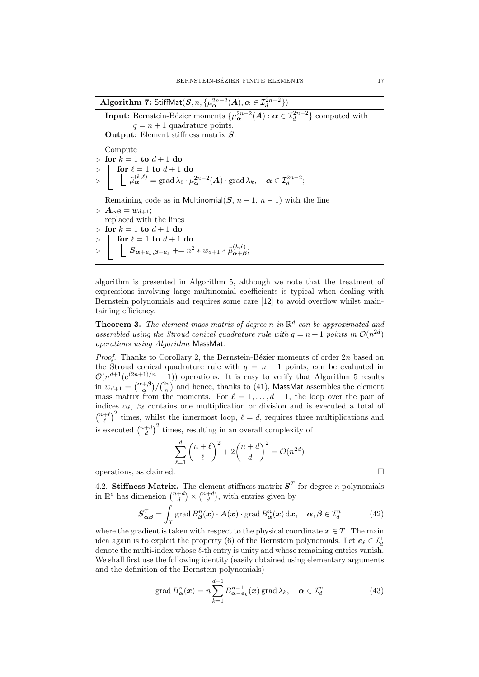Algorithm 7: StiffMat $(S, n, \{\mu_{\boldsymbol{\alpha}}^{2n-2}(A), \boldsymbol{\alpha} \in \mathcal{I}_d^{2n-2}\})$ **Input**: Bernstein-Bézier moments  $\{\mu_{\alpha}^{2n-2}(A) : \alpha \in \mathcal{I}_{d}^{2n-2}\}\)$  computed with  $q = n + 1$  quadrature points. Output: Element stiffness matrix S. Compute  $>$  for  $k = 1$  to  $d + 1$  do  $>$  for  $\ell = 1$  to  $d+1$  do  $>~\left| \quad \right|~\left\lbrack \begin{array}{c} \tilde{\mu}^{(k,\ell)}_{\boldsymbol{\alpha}} =\mathop{\rm grad}\lambda_{\ell} \cdot \mu^{2n-2}_{\boldsymbol{\alpha}}(\boldsymbol{A}) \cdot \mathop{\rm grad}\lambda_k, \quad \boldsymbol{\alpha} \in \mathcal{I}_d^{2n-2}; \end{array} \right.$ Remaining code as in Multinomial(S,  $n-1$ ,  $n-1$ ) with the line  $> A_{\alpha\beta} = w_{d+1};$ replaced with the lines  $>$  for  $k = 1$  to  $d + 1$  do  $>$  for  $\ell = 1$  to  $d+1$  do  $>\quad \bigg|\quad \bigg|\quad \mathcal{S}_{\boldsymbol{\alpha}+\boldsymbol{e}_k,\boldsymbol{\beta}+\boldsymbol{e}_\ell} \mathrel{+}= n^2 * w_{d+1} * \tilde{\mu}^{(k,\ell)}_{\boldsymbol{\alpha}+\boldsymbol{\beta}};$ 

algorithm is presented in Algorithm 5, although we note that the treatment of expressions involving large multinomial coefficients is typical when dealing with Bernstein polynomials and requires some care [12] to avoid overflow whilst maintaining efficiency.

**Theorem 3.** The element mass matrix of degree n in  $\mathbb{R}^d$  can be approximated and assembled using the Stroud conical quadrature rule with  $q = n + 1$  points in  $\mathcal{O}(n^{2d})$ operations using Algorithm MassMat.

*Proof.* Thanks to Corollary 2, the Bernstein-Bézier moments of order  $2n$  based on the Stroud conical quadrature rule with  $q = n + 1$  points, can be evaluated in  $\mathcal{O}(n^{d+1}(e^{(2n+1)/n}-1))$  operations. It is easy to verify that Algorithm 5 results in  $w_{d+1} = \binom{\alpha+\beta}{\alpha} \binom{2n}{n}$  and hence, thanks to (41), MassMat assembles the element mass matrix from the moments. For  $\ell = 1, \ldots, d-1$ , the loop over the pair of indices  $\alpha_{\ell}$ ,  $\beta_{\ell}$  contains one multiplication or division and is executed a total of  $\binom{n+\ell}{\ell}^2$  times, whilst the innermost loop,  $\ell = d$ , requires three multiplications and is executed  $\binom{n+d}{d}^2$  times, resulting in an overall complexity of

$$
\sum_{\ell=1}^d \binom{n+\ell}{\ell}^2 + 2\binom{n+d}{d}^2 = \mathcal{O}(n^{2d})
$$

operations, as claimed.

4.2. Stiffness Matrix. The element stiffness matrix  $S<sup>T</sup>$  for degree n polynomials in  $\mathbb{R}^d$  has dimension  $\binom{n+d}{d} \times \binom{n+d}{d}$ , with entries given by

$$
\mathbf{S}_{\alpha\beta}^T = \int_T \operatorname{grad} B_{\beta}^n(\mathbf{x}) \cdot \mathbf{A}(\mathbf{x}) \cdot \operatorname{grad} B_{\alpha}^n(\mathbf{x}) \, \mathrm{d}\mathbf{x}, \quad \alpha, \beta \in \mathcal{I}_d^n \tag{42}
$$

where the gradient is taken with respect to the physical coordinate  $x \in T$ . The main idea again is to exploit the property (6) of the Bernstein polynomials. Let  $e_{\ell} \in \mathcal{I}_d^1$ denote the multi-index whose  $\ell$ -th entry is unity and whose remaining entries vanish. We shall first use the following identity (easily obtained using elementary arguments and the definition of the Bernstein polynomials)

$$
\operatorname{grad} B_{\alpha}^{n}(\boldsymbol{x}) = n \sum_{k=1}^{d+1} B_{\alpha - \boldsymbol{e}_k}^{n-1}(\boldsymbol{x}) \operatorname{grad} \lambda_k, \quad \boldsymbol{\alpha} \in \mathcal{I}_d^n \tag{43}
$$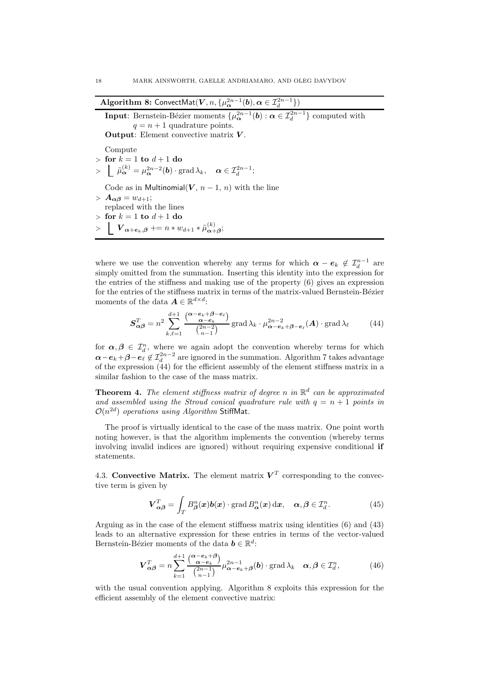| <b>Algorithm 8:</b> ConvectMat $(V, n, \{\mu_{\alpha}^{2n-1}(b), \alpha \in \mathcal{I}_{d}^{2n-1}\})$                                                  |
|---------------------------------------------------------------------------------------------------------------------------------------------------------|
| <b>Input:</b> Bernstein-Bézier moments $\{\mu_{\alpha}^{2n-1}(b) : \alpha \in \mathcal{I}_{d}^{2n-1}\}\)$ computed with                                 |
| $q = n + 1$ quadrature points.                                                                                                                          |
| <b>Output:</b> Element convective matrix $V$ .                                                                                                          |
| Compute                                                                                                                                                 |
| $\frac{1}{2}$ for $k = 1$ to $d + 1$ do                                                                                                                 |
| $> \left  \tilde{\mu}_{\alpha}^{(k)} = \mu_{\alpha}^{2n-2}(\boldsymbol{b}) \cdot \text{grad} \lambda_k, \quad \alpha \in \mathcal{I}_d^{2n-1}; \right.$ |
| Code as in Multinomial( $V$ , $n-1$ , n) with the line                                                                                                  |
| $> A_{\alpha\beta} = w_{d+1};$                                                                                                                          |
| replaced with the lines                                                                                                                                 |
| $\frac{1}{2}$ for $k=1$ to $d+1$ do                                                                                                                     |
| $>$ $\bm{V_{\alpha+e_k,\beta}}$ += $n*w_{d+1} * \tilde{\mu}^{(k)}_{\alpha+A};$                                                                          |
|                                                                                                                                                         |

where we use the convention whereby any terms for which  $\boldsymbol{\alpha} - \boldsymbol{e}_k \notin \mathcal{I}_d^{n-1}$  are simply omitted from the summation. Inserting this identity into the expression for the entries of the stiffness and making use of the property (6) gives an expression for the entries of the stiffness matrix in terms of the matrix-valued Bernstein-Bézier moments of the data  $\mathbf{A} \in \mathbb{R}^{d \times d}$ :

$$
\mathbf{S}_{\alpha\beta}^T = n^2 \sum_{k,\ell=1}^{d+1} \frac{\binom{\alpha - e_k + \beta - e_\ell}{\alpha - e_k}}{\binom{2n-2}{n-1}} \operatorname{grad} \lambda_k \cdot \mu_{\alpha - e_k + \beta - e_\ell}^{2n-2}(\mathbf{A}) \cdot \operatorname{grad} \lambda_\ell \tag{44}
$$

for  $\alpha, \beta \in \mathcal{I}_d^n$ , where we again adopt the convention whereby terms for which  $\alpha - e_k + \beta - e_\ell \notin \mathcal{I}_d^{2n-2}$  are ignored in the summation. Algorithm 7 takes advantage of the expression  $(44)$  for the efficient assembly of the element stiffness matrix in a similar fashion to the case of the mass matrix.

**Theorem 4.** The element stiffness matrix of degree n in  $\mathbb{R}^d$  can be approximated and assembled using the Stroud conical quadrature rule with  $q = n + 1$  points in  $\mathcal{O}(n^{2d})$  operations using Algorithm StiffMat.

The proof is virtually identical to the case of the mass matrix. One point worth noting however, is that the algorithm implements the convention (whereby terms involving invalid indices are ignored) without requiring expensive conditional if statements.

4.3. Convective Matrix. The element matrix  $V<sup>T</sup>$  corresponding to the convective term is given by

$$
\boldsymbol{V}_{\alpha\beta}^T = \int_T B_{\beta}^n(\boldsymbol{x}) \boldsymbol{b}(\boldsymbol{x}) \cdot \operatorname{grad} B_{\alpha}^n(\boldsymbol{x}) \, \mathrm{d}\boldsymbol{x}, \quad \alpha, \beta \in \mathcal{I}_d^n. \tag{45}
$$

Arguing as in the case of the element stiffness matrix using identities (6) and (43) leads to an alternative expression for these entries in terms of the vector-valued Bernstein-Bézier moments of the data  $\mathbf{b} \in \mathbb{R}^d$ :

$$
\boldsymbol{V}_{\alpha\beta}^T = n \sum_{k=1}^{d+1} \frac{\binom{\alpha - e_k + \beta}{\alpha - e_k}}{\binom{2n-1}{n-1}} \mu_{\alpha - e_k + \beta}^{2n-1}(\boldsymbol{b}) \cdot \operatorname{grad} \lambda_k \quad \alpha, \beta \in \mathcal{I}_d^n,\tag{46}
$$

with the usual convention applying. Algorithm 8 exploits this expression for the efficient assembly of the element convective matrix: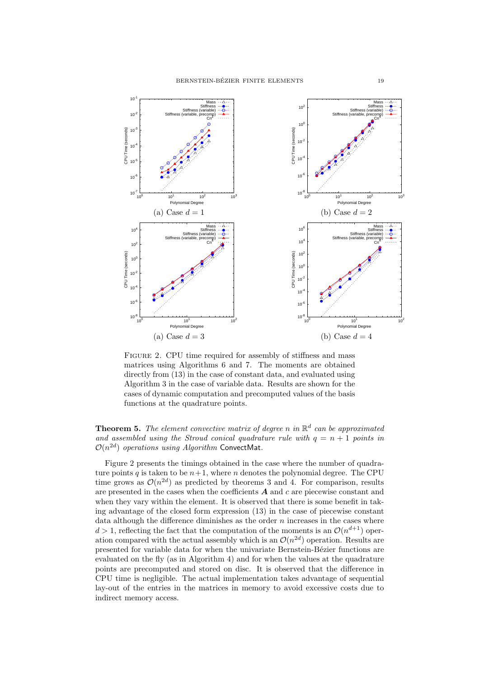

FIGURE 2. CPU time required for assembly of stiffness and mass matrices using Algorithms 6 and 7. The moments are obtained directly from (13) in the case of constant data, and evaluated using Algorithm 3 in the case of variable data. Results are shown for the cases of dynamic computation and precomputed values of the basis functions at the quadrature points.

## **Theorem 5.** The element convective matrix of degree n in  $\mathbb{R}^d$  can be approximated and assembled using the Stroud conical quadrature rule with  $q = n + 1$  points in  $\mathcal{O}(n^{2d})$  operations using Algorithm ConvectMat.

Figure 2 presents the timings obtained in the case where the number of quadrature points q is taken to be  $n+1$ , where n denotes the polynomial degree. The CPU time grows as  $\mathcal{O}(n^{2d})$  as predicted by theorems 3 and 4. For comparison, results are presented in the cases when the coefficients  $A$  and  $c$  are piecewise constant and when they vary within the element. It is observed that there is some benefit in taking advantage of the closed form expression (13) in the case of piecewise constant data although the difference diminishes as the order  $n$  increases in the cases where  $d > 1$ , reflecting the fact that the computation of the moments is an  $\mathcal{O}(n^{d+1})$  operation compared with the actual assembly which is an  $\mathcal{O}(n^{2d})$  operation. Results are presented for variable data for when the univariate Bernstein-Bézier functions are evaluated on the fly (as in Algorithm 4) and for when the values at the quadrature points are precomputed and stored on disc. It is observed that the difference in CPU time is negligible. The actual implementation takes advantage of sequential lay-out of the entries in the matrices in memory to avoid excessive costs due to indirect memory access.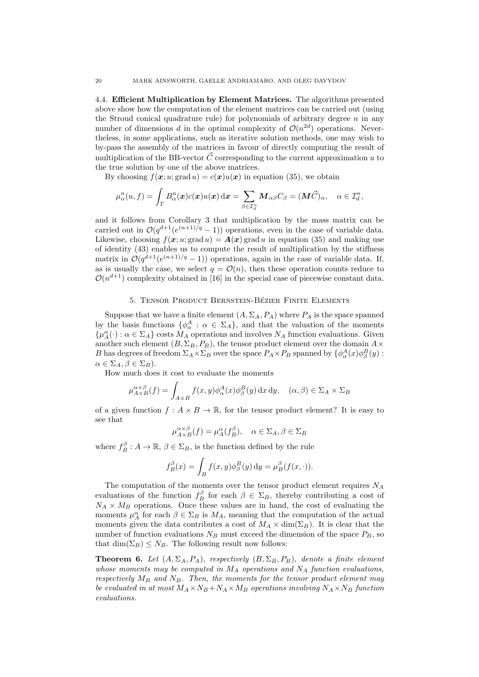4.4. Efficient Multiplication by Element Matrices. The algorithms presented above show how the computation of the element matrices can be carried out (using the Stroud conical quadrature rule) for polynomials of arbitrary degree  $n$  in any number of dimensions d in the optimal complexity of  $\mathcal{O}(n^{2d})$  operations. Nevertheless, in some applications, such as iterative solution methods, one may wish to by-pass the assembly of the matrices in favour of directly computing the result of multiplication of the BB-vector  $\vec{C}$  corresponding to the current approximation u to the true solution by one of the above matrices.

By choosing  $f(\mathbf{x}; u; \text{grad } u) = c(\mathbf{x})u(\mathbf{x})$  in equation (35), we obtain

$$
\mu_{\alpha}^{n}(u,f) = \int_{T} B_{\alpha}^{n}(\boldsymbol{x}) c(\boldsymbol{x}) u(\boldsymbol{x}) \, d\boldsymbol{x} = \sum_{\beta \in \mathcal{I}_{d}^{n}} \boldsymbol{M}_{\alpha\beta} C_{\beta} = (\boldsymbol{M}\vec{C})_{\alpha}, \quad \alpha \in \mathcal{I}_{d}^{n},
$$

and it follows from Corollary 3 that multiplication by the mass matrix can be carried out in  $\mathcal{O}(q^{d+1}(e^{(n+1)/q}-1))$  operations, even in the case of variable data. Likewise, choosing  $f(\mathbf{x}; u; \text{grad } u) = \mathbf{A}(\mathbf{x})$  grad u in equation (35) and making use of identity (43) enables us to compute the result of multiplication by the stiffness matrix in  $\mathcal{O}(q^{d+1}(e^{(n+1)/q}-1))$  operations, again in the case of variable data. If, as is usually the case, we select  $q = \mathcal{O}(n)$ , then these operation counts reduce to  $\mathcal{O}(n^{d+1})$  complexity obtained in [16] in the special case of piecewise constant data.

#### 5. TENSOR PRODUCT BERNSTEIN-BÉZIER FINITE ELEMENTS

Suppose that we have a finite element  $(A, \Sigma_A, P_A)$  where  $P_A$  is the space spanned by the basis functions  $\{\phi^A_\alpha : \alpha \in \Sigma_A\}$ , and that the valuation of the moments  $\{\mu_A^{\alpha}(\cdot):\alpha\in\Sigma_A\}$  costs  $M_A$  operations and involves  $N_A$  function evaluations. Given another such element  $(B, \Sigma_B, P_B)$ , the tensor product element over the domain  $A \times$ B has degrees of freedom  $\Sigma_A \times \Sigma_B$  over the space  $P_A \times P_B$  spanned by  $\{\phi^A_\alpha(x) \phi^B_\beta(y)$ :  $\alpha \in \Sigma_A, \beta \in \Sigma_B$ ).

How much does it cost to evaluate the moments

$$
\mu_{A \times B}^{\alpha \times \beta}(f) = \int_{A \times B} f(x, y) \phi_{\alpha}^{A}(x) \phi_{\beta}^{B}(y) dx dy, \quad (\alpha, \beta) \in \Sigma_A \times \Sigma_B
$$

of a given function  $f: A \times B \to \mathbb{R}$ , for the tensor product element? It is easy to see that

$$
\mu_{A \times B}^{\alpha \times \beta}(f) = \mu_A^{\alpha}(f_B^{\beta}), \quad \alpha \in \Sigma_A, \beta \in \Sigma_B
$$

where  $f_B^{\beta}: A \to \mathbb{R}, \beta \in \Sigma_B$ , is the function defined by the rule

$$
f_B^{\beta}(x) = \int_B f(x, y) \phi_{\beta}^B(y) dy = \mu_B^{\beta}(f(x, \cdot)).
$$

The computation of the moments over the tensor product element requires  $N_A$ evaluations of the function  $f_B^{\beta}$  for each  $\beta \in \Sigma_B$ , thereby contributing a cost of  $N_A \times M_B$  operations. Once these values are in hand, the cost of evaluating the moments  $\mu_A^{\alpha}$  for each  $\beta \in \Sigma_B$  is  $M_A$ , meaning that the computation of the actual moments given the data contributes a cost of  $M_A \times \dim(\Sigma_B)$ . It is clear that the number of function evaluations  $N_B$  must exceed the dimension of the space  $P_B$ , so that  $\dim(\Sigma_B) \leq N_B$ . The following result now follows:

**Theorem 6.** Let  $(A, \Sigma_A, P_A)$ , respectively  $(B, \Sigma_B, P_B)$ , denote a finite element whose moments may be computed in  $M_A$  operations and  $N_A$  function evaluations, respectively  $M_B$  and  $N_B$ . Then, the moments for the tensor product element may be evaluated in at most  $M_A \times N_B + N_A \times M_B$  operations involving  $N_A \times N_B$  function evaluations.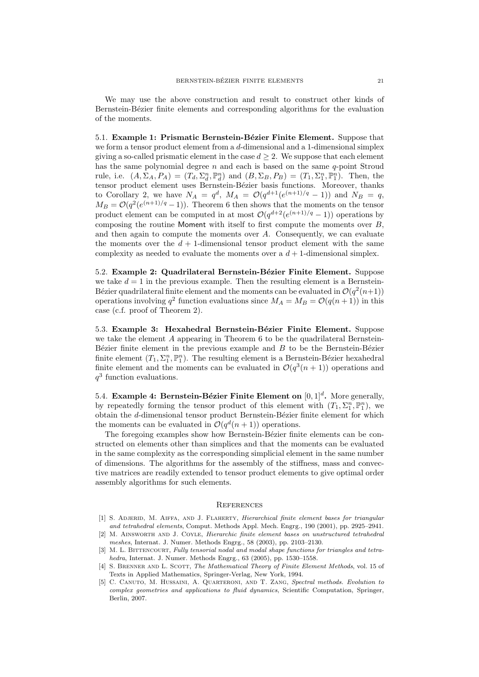We may use the above construction and result to construct other kinds of Bernstein-Bézier finite elements and corresponding algorithms for the evaluation of the moments.

5.1. Example 1: Prismatic Bernstein-Bézier Finite Element. Suppose that we form a tensor product element from a d-dimensional and a 1-dimensional simplex giving a so-called prismatic element in the case  $d \geq 2$ . We suppose that each element has the same polynomial degree  $n$  and each is based on the same  $q$ -point Stroud rule, i.e.  $(A, \Sigma_A, P_A) = (T_d, \Sigma_d^n, \mathbb{P}_d^n)$  and  $(B, \Sigma_B, P_B) = (T_1, \Sigma_1^n, \mathbb{P}_1^n)$ . Then, the tensor product element uses Bernstein-Bézier basis functions. Moreover, thanks to Corollary 2, we have  $N_A = q^d$ ,  $M_A = O(q^{d+1}(e^{(n+1)/q} - 1))$  and  $N_B = q$ ,  $M_B = \mathcal{O}(q^2(e^{(n+1)/q}-1))$ . Theorem 6 then shows that the moments on the tensor product element can be computed in at most  $\mathcal{O}(q^{d+2}(e^{(n+1)/q}-1))$  operations by composing the routine Moment with itself to first compute the moments over B, and then again to compute the moments over  $A$ . Consequently, we can evaluate the moments over the  $d + 1$ -dimensional tensor product element with the same complexity as needed to evaluate the moments over a  $d+1$ -dimensional simplex.

5.2. Example 2: Quadrilateral Bernstein-Bézier Finite Element. Suppose we take  $d = 1$  in the previous example. Then the resulting element is a Bernstein-Bézier quadrilateral finite element and the moments can be evaluated in  $\mathcal{O}(q^2(n+1))$ operations involving  $q^2$  function evaluations since  $M_A = M_B = \mathcal{O}(q(n+1))$  in this case (c.f. proof of Theorem 2).

5.3. Example 3: Hexahedral Bernstein-Bézier Finite Element. Suppose we take the element A appearing in Theorem 6 to be the quadrilateral Bernstein-B $\acute{e}z$ ier finite element in the previous example and  $B$  to be the Bernstein-B $\acute{e}z$ ier finite element  $(T_1, \Sigma_1^n, \mathbb{P}_1^n)$ . The resulting element is a Bernstein-Bézier hexahedral finite element and the moments can be evaluated in  $\mathcal{O}(q^3(n+1))$  operations and  $q^3$  function evaluations.

5.4. Example 4: Bernstein-Bézier Finite Element on  $[0,1]^d$ . More generally, by repeatedly forming the tensor product of this element with  $(T_1, \Sigma_1^n, \mathbb{P}_1^n)$ , we obtain the  $d$ -dimensional tensor product Bernstein-Bézier finite element for which the moments can be evaluated in  $\mathcal{O}(q^d(n+1))$  operations.

The foregoing examples show how Bernstein-Bézier finite elements can be constructed on elements other than simplices and that the moments can be evaluated in the same complexity as the corresponding simplicial element in the same number of dimensions. The algorithms for the assembly of the stiffness, mass and convective matrices are readily extended to tensor product elements to give optimal order assembly algorithms for such elements.

#### **REFERENCES**

- [1] S. ADJERID, M. AIFFA, AND J. FLAHERTY, Hierarchical finite element bases for triangular and tetrahedral elements, Comput. Methods Appl. Mech. Engrg., 190 (2001), pp. 2925–2941.
- [2] M. Ainsworth and J. Coyle, Hierarchic finite element bases on unstructured tetrahedral meshes, Internat. J. Numer. Methods Engrg., 58 (2003), pp. 2103–2130.
- [3] M. L. BITTENCOURT, Fully tensorial nodal and modal shape functions for triangles and tetrahedra, Internat. J. Numer. Methods Engrg., 63 (2005), pp. 1530–1558.
- [4] S. BRENNER AND L. SCOTT, The Mathematical Theory of Finite Element Methods, vol. 15 of Texts in Applied Mathematics, Springer-Verlag, New York, 1994.
- [5] C. Canuto, M. Hussaini, A. Quarteroni, and T. Zang, Spectral methods. Evolution to complex geometries and applications to fluid dynamics, Scientific Computation, Springer, Berlin, 2007.